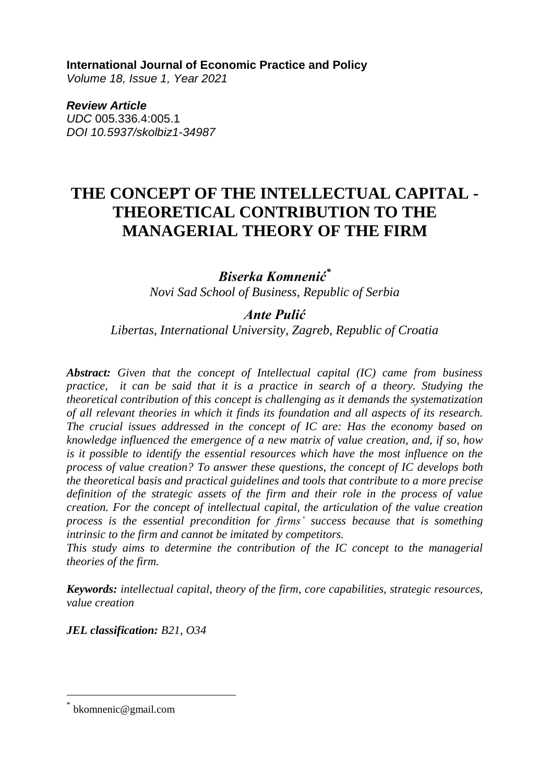#### **International Journal of Economic Practice and Policy**

*Volume 18, Issue 1, Year 2021* 

*Review Article UDC* 005.336.4:005.1 *DOI 10.5937/skolbiz1-34987*

# **THE CONCEPT OF THE INTELLECTUAL CAPITAL - THEORETICAL CONTRIBUTION TO THE MANAGERIAL THEORY OF THE FIRM**

*Biserka Komnenić\* Novi Sad School of Business, Republic of Serbia*

#### *Ante Pulić*

*Libertas, International University, Zagreb, Republic of Croatia* 

*Abstract: Given that the concept of Intellectual capital (IC) came from business practice, it can be said that it is a practice in search of a theory. Studying the theoretical contribution of this concept is challenging as it demands the systematization of all relevant theories in which it finds its foundation and all aspects of its research. The crucial issues addressed in the concept of IC are: Has the economy based on knowledge influenced the emergence of a new matrix of value creation, and, if so, how is it possible to identify the essential resources which have the most influence on the process of value creation? To answer these questions, the concept of IC develops both the theoretical basis and practical guidelines and tools that contribute to a more precise definition of the strategic assets of the firm and their role in the process of value creation. For the concept of intellectual capital, the articulation of the value creation process is the essential precondition for firms' success because that is something intrinsic to the firm and cannot be imitated by competitors.* 

*This study aims to determine the contribution of the IC concept to the managerial theories of the firm.*

*Keywords: intellectual capital, theory of the firm, core capabilities, strategic resources, value creation*

*JEL classification: B21, O34*

 $\overline{a}$ 

<sup>\*</sup> bkomnenic@gmail.com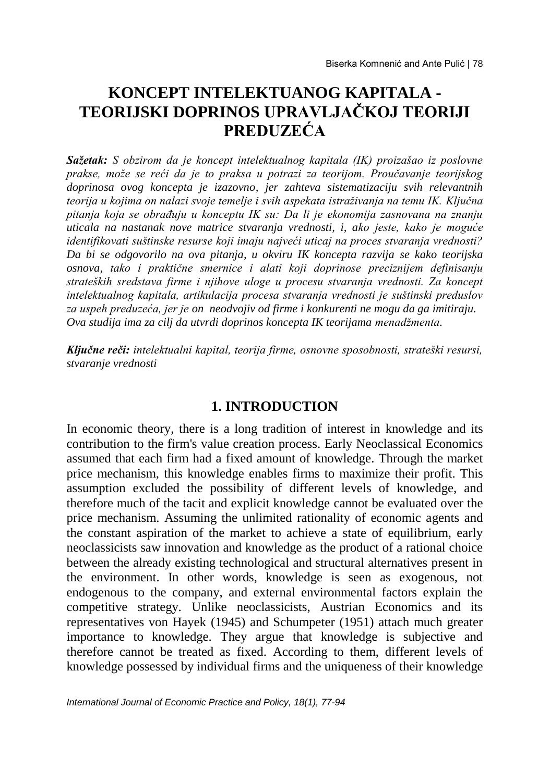# **KONCEPT INTELEKTUANOG KAPITALA - TEORIJSKI DOPRINOS UPRAVLJAČKOJ TEORIJI PREDUZEĆA**

*Sažetak: S obzirom da je koncept intelektualnog kapitala (IK) proizašao iz poslovne prakse, može se reći da je to praksa u potrazi za teorijom. Proučavanje teorijskog doprinosa ovog koncepta je izazovno, jer zahteva sistematizaciju svih relevantnih teorija u kojima on nalazi svoje temelje i svih aspekata istraživanja na temu IK. Ključna pitanja koja se obrađuju u konceptu IK su: Da li je ekonomija zasnovana na znanju uticala na nastanak nove matrice stvaranja vrednosti, i, ako jeste, kako je moguće identifikovati suštinske resurse koji imaju najveći uticaj na proces stvaranja vrednosti? Da bi se odgovorilo na ova pitanja, u okviru IK koncepta razvija se kako teorijska osnova, tako i praktične smernice i alati koji doprinose preciznijem definisanju strateških sredstava firme i njihove uloge u procesu stvaranja vrednosti. Za koncept intelektualnog kapitala, artikulacija procesa stvaranja vrednosti je suštinski preduslov za uspeh preduzeća, jer je on neodvojiv od firme i konkurenti ne mogu da ga imitiraju. Ova studija ima za cilj da utvrdi doprinos koncepta IK teorijama menadžmenta.*

*Ključne reči: intelektualni kapital, teorija firme, osnovne sposobnosti, strateški resursi, stvaranje vrednosti*

#### **1. INTRODUCTION**

In economic theory, there is a long tradition of interest in knowledge and its contribution to the firm's value creation process. Early Neoclassical Economics assumed that each firm had a fixed amount of knowledge. Through the market price mechanism, this knowledge enables firms to maximize their profit. This assumption excluded the possibility of different levels of knowledge, and therefore much of the tacit and explicit knowledge cannot be evaluated over the price mechanism. Assuming the unlimited rationality of economic agents and the constant aspiration of the market to achieve a state of equilibrium, early neoclassicists saw innovation and knowledge as the product of a rational choice between the already existing technological and structural alternatives present in the environment. In other words, knowledge is seen as exogenous, not endogenous to the company, and external environmental factors explain the competitive strategy. Unlike neoclassicists, Austrian Economics and its representatives von Hayek (1945) and Schumpeter (1951) attach much greater importance to knowledge. They argue that knowledge is subjective and therefore cannot be treated as fixed. According to them, different levels of knowledge possessed by individual firms and the uniqueness of their knowledge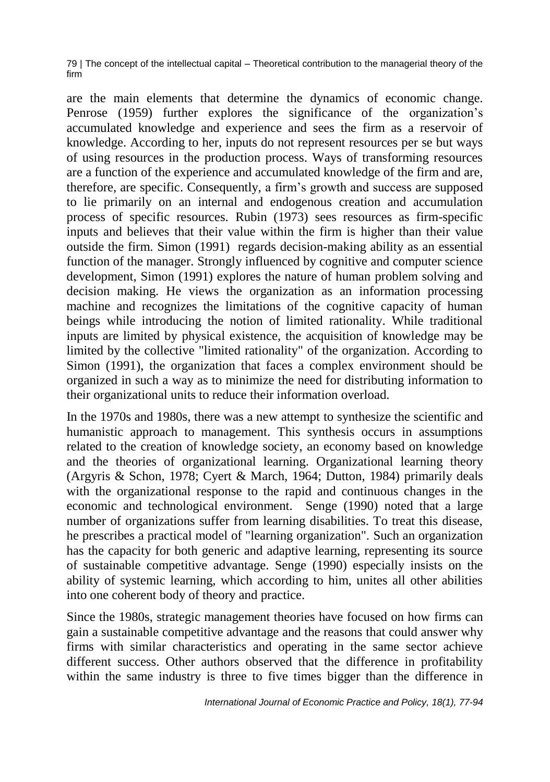are the main elements that determine the dynamics of economic change. Penrose (1959) further explores the significance of the organization's accumulated knowledge and experience and sees the firm as a reservoir of knowledge. According to her, inputs do not represent resources per se but ways of using resources in the production process. Ways of transforming resources are a function of the experience and accumulated knowledge of the firm and are, therefore, are specific. Consequently, a firm's growth and success are supposed to lie primarily on an internal and endogenous creation and accumulation process of specific resources. Rubin (1973) sees resources as firm-specific inputs and believes that their value within the firm is higher than their value outside the firm. Simon (1991) regards decision-making ability as an essential function of the manager. Strongly influenced by cognitive and computer science development, Simon (1991) explores the nature of human problem solving and decision making. He views the organization as an information processing machine and recognizes the limitations of the cognitive capacity of human beings while introducing the notion of limited rationality. While traditional inputs are limited by physical existence, the acquisition of knowledge may be limited by the collective "limited rationality" of the organization. According to Simon (1991), the organization that faces a complex environment should be organized in such a way as to minimize the need for distributing information to their organizational units to reduce their information overload.

In the 1970s and 1980s, there was a new attempt to synthesize the scientific and humanistic approach to management. This synthesis occurs in assumptions related to the creation of knowledge society, an economy based on knowledge and the theories of organizational learning. Organizational learning theory (Argyris & Schon, 1978; Cyert & March, 1964; Dutton, 1984) primarily deals with the organizational response to the rapid and continuous changes in the economic and technological environment. Senge (1990) noted that a large number of organizations suffer from learning disabilities. To treat this disease, he prescribes a practical model of "learning organization". Such an organization has the capacity for both generic and adaptive learning, representing its source of sustainable competitive advantage. Senge (1990) especially insists on the ability of systemic learning, which according to him, unites all other abilities into one coherent body of theory and practice.

Since the 1980s, strategic management theories have focused on how firms can gain a sustainable competitive advantage and the reasons that could answer why firms with similar characteristics and operating in the same sector achieve different success. Other authors observed that the difference in profitability within the same industry is three to five times bigger than the difference in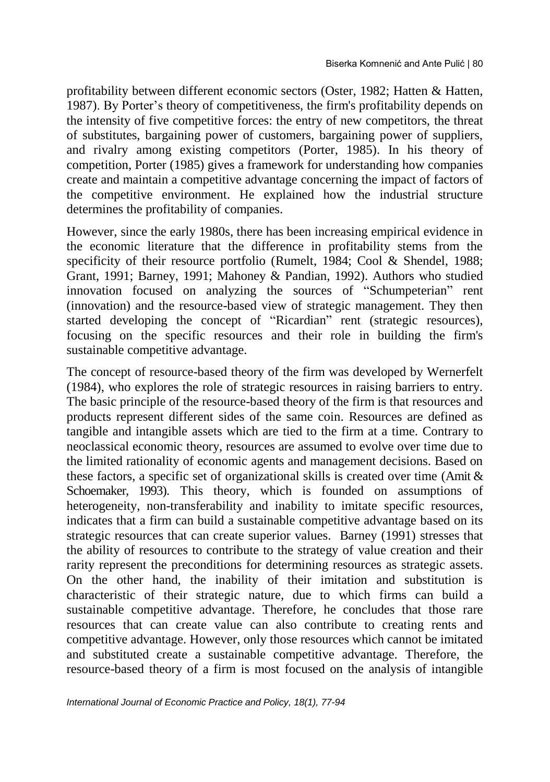profitability between different economic sectors (Oster, 1982; Hatten & Hatten, 1987). By Porter's theory of competitiveness, the firm's profitability depends on the intensity of five competitive forces: the entry of new competitors, the threat of substitutes, bargaining power of customers, bargaining power of suppliers, and rivalry among existing competitors (Porter, 1985). In his theory of competition, Porter (1985) gives a framework for understanding how companies create and maintain a competitive advantage concerning the impact of factors of the competitive environment. He explained how the industrial structure determines the profitability of companies.

However, since the early 1980s, there has been increasing empirical evidence in the economic literature that the difference in profitability stems from the specificity of their resource portfolio (Rumelt, 1984; Cool & Shendel, 1988; Grant, 1991; Barney, 1991; Mahoney & Pandian, 1992). Authors who studied innovation focused on analyzing the sources of "Schumpeterian" rent (innovation) and the resource-based view of strategic management. They then started developing the concept of "Ricardian" rent (strategic resources), focusing on the specific resources and their role in building the firm's sustainable competitive advantage.

The concept of resource-based theory of the firm was developed by Wernerfelt (1984), who explores the role of strategic resources in raising barriers to entry. The basic principle of the resource-based theory of the firm is that resources and products represent different sides of the same coin. Resources are defined as tangible and intangible assets which are tied to the firm at a time. Contrary to neoclassical economic theory, resources are assumed to evolve over time due to the limited rationality of economic agents and management decisions. Based on these factors, a specific set of organizational skills is created over time (Amit & Schoemaker, 1993). This theory, which is founded on assumptions of heterogeneity, non-transferability and inability to imitate specific resources, indicates that a firm can build a sustainable competitive advantage based on its strategic resources that can create superior values. Barney (1991) stresses that the ability of resources to contribute to the strategy of value creation and their rarity represent the preconditions for determining resources as strategic assets. On the other hand, the inability of their imitation and substitution is characteristic of their strategic nature, due to which firms can build a sustainable competitive advantage. Therefore, he concludes that those rare resources that can create value can also contribute to creating rents and competitive advantage. However, only those resources which cannot be imitated and substituted create a sustainable competitive advantage. Therefore, the resource-based theory of a firm is most focused on the analysis of intangible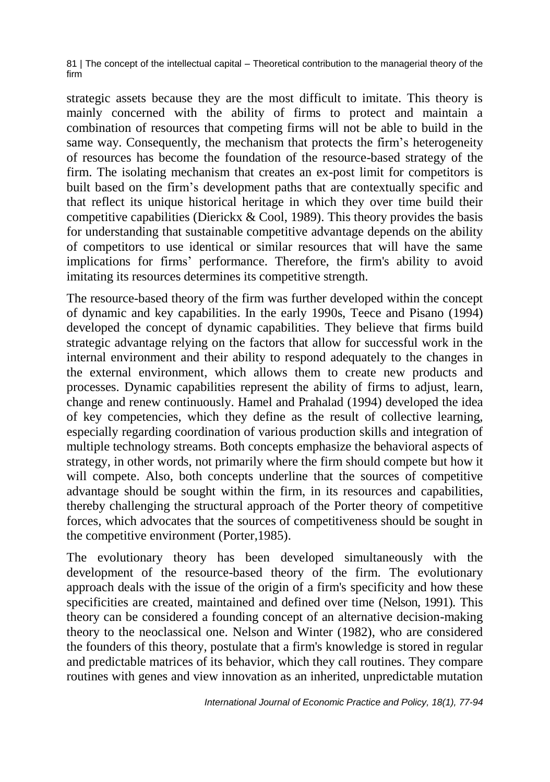strategic assets because they are the most difficult to imitate. This theory is mainly concerned with the ability of firms to protect and maintain a combination of resources that competing firms will not be able to build in the same way. Consequently, the mechanism that protects the firm's heterogeneity of resources has become the foundation of the resource-based strategy of the firm. The isolating mechanism that creates an ex-post limit for competitors is built based on the firm's development paths that are contextually specific and that reflect its unique historical heritage in which they over time build their competitive capabilities (Dierickx & Cool, 1989). This theory provides the basis for understanding that sustainable competitive advantage depends on the ability of competitors to use identical or similar resources that will have the same implications for firms' performance. Therefore, the firm's ability to avoid imitating its resources determines its competitive strength.

The resource-based theory of the firm was further developed within the concept of dynamic and key capabilities. In the early 1990s, Teece and Pisano (1994) developed the concept of dynamic capabilities. They believe that firms build strategic advantage relying on the factors that allow for successful work in the internal environment and their ability to respond adequately to the changes in the external environment, which allows them to create new products and processes. Dynamic capabilities represent the ability of firms to adjust, learn, change and renew continuously. Hamel and Prahalad (1994) developed the idea of key competencies, which they define as the result of collective learning, especially regarding coordination of various production skills and integration of multiple technology streams. Both concepts emphasize the behavioral aspects of strategy, in other words, not primarily where the firm should compete but how it will compete. Also, both concepts underline that the sources of competitive advantage should be sought within the firm, in its resources and capabilities, thereby challenging the structural approach of the Porter theory of competitive forces, which advocates that the sources of competitiveness should be sought in the competitive environment (Porter,1985).

The evolutionary theory has been developed simultaneously with the development of the resource-based theory of the firm. The evolutionary approach deals with the issue of the origin of a firm's specificity and how these specificities are created, maintained and defined over time (Nelson, 1991). This theory can be considered a founding concept of an alternative decision-making theory to the neoclassical one. Nelson and Winter (1982), who are considered the founders of this theory, postulate that a firm's knowledge is stored in regular and predictable matrices of its behavior, which they call routines. They compare routines with genes and view innovation as an inherited, unpredictable mutation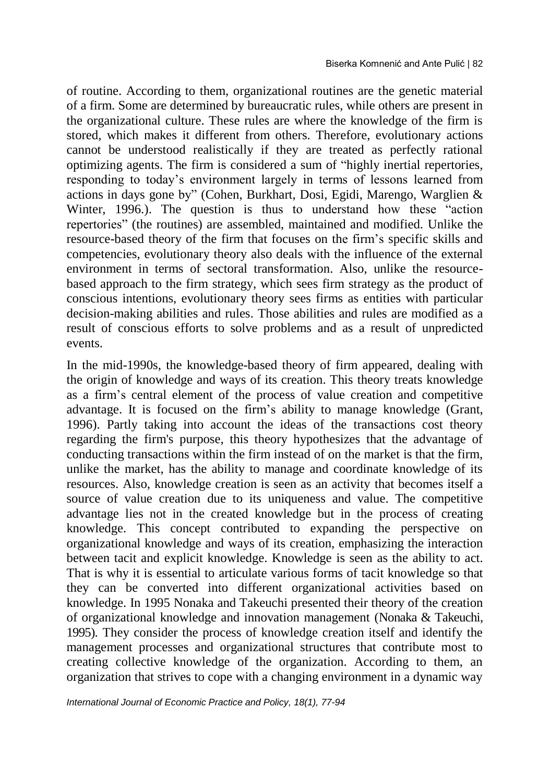of routine. According to them, organizational routines are the genetic material of a firm. Some are determined by bureaucratic rules, while others are present in the organizational culture. These rules are where the knowledge of the firm is stored, which makes it different from others. Therefore, evolutionary actions cannot be understood realistically if they are treated as perfectly rational optimizing agents. The firm is considered a sum of "highly inertial repertories, responding to today's environment largely in terms of lessons learned from actions in days gone by" (Cohen, Burkhart, Dosi, Egidi, Marengo, Warglien & Winter, 1996.). The question is thus to understand how these "action repertories" (the routines) are assembled, maintained and modified. Unlike the resource-based theory of the firm that focuses on the firm's specific skills and competencies, evolutionary theory also deals with the influence of the external environment in terms of sectoral transformation. Also, unlike the resourcebased approach to the firm strategy, which sees firm strategy as the product of conscious intentions, evolutionary theory sees firms as entities with particular decision-making abilities and rules. Those abilities and rules are modified as a result of conscious efforts to solve problems and as a result of unpredicted events.

In the mid-1990s, the knowledge-based theory of firm appeared, dealing with the origin of knowledge and ways of its creation. This theory treats knowledge as a firm's central element of the process of value creation and competitive advantage. It is focused on the firm's ability to manage knowledge (Grant, 1996). Partly taking into account the ideas of the transactions cost theory regarding the firm's purpose, this theory hypothesizes that the advantage of conducting transactions within the firm instead of on the market is that the firm, unlike the market, has the ability to manage and coordinate knowledge of its resources. Also, knowledge creation is seen as an activity that becomes itself a source of value creation due to its uniqueness and value. The competitive advantage lies not in the created knowledge but in the process of creating knowledge. This concept contributed to expanding the perspective on organizational knowledge and ways of its creation, emphasizing the interaction between tacit and explicit knowledge. Knowledge is seen as the ability to act. That is why it is essential to articulate various forms of tacit knowledge so that they can be converted into different organizational activities based on knowledge. In 1995 Nonaka and Takeuchi presented their theory of the creation of organizational knowledge and innovation management (Nonaka & Takeuchi, 1995). They consider the process of knowledge creation itself and identify the management processes and organizational structures that contribute most to creating collective knowledge of the organization. According to them, an organization that strives to cope with a changing environment in a dynamic way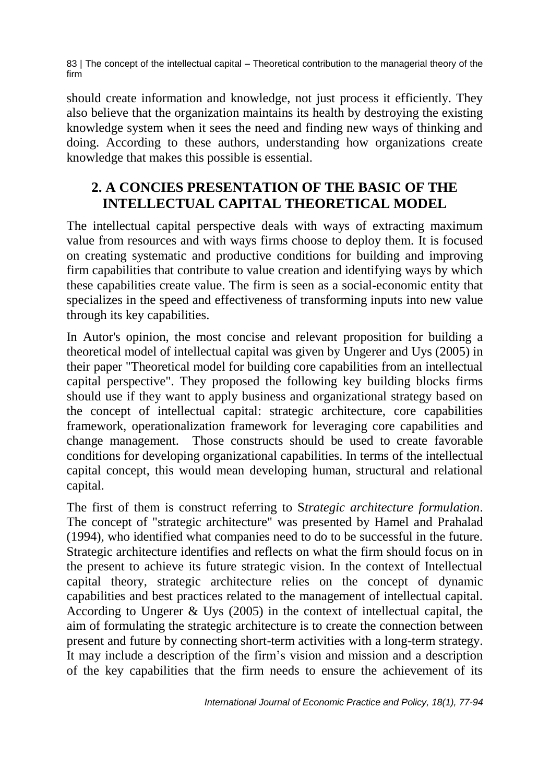should create information and knowledge, not just process it efficiently. They also believe that the organization maintains its health by destroying the existing knowledge system when it sees the need and finding new ways of thinking and doing. According to these authors, understanding how organizations create knowledge that makes this possible is essential.

## **2. A CONCIES PRESENTATION OF THE BASIC OF THE INTELLECTUAL CAPITAL THEORETICAL MODEL**

The intellectual capital perspective deals with ways of extracting maximum value from resources and with ways firms choose to deploy them. It is focused on creating systematic and productive conditions for building and improving firm capabilities that contribute to value creation and identifying ways by which these capabilities create value. The firm is seen as a social-economic entity that specializes in the speed and effectiveness of transforming inputs into new value through its key capabilities.

In Autor's opinion, the most concise and relevant proposition for building a theoretical model of intellectual capital was given by Ungerer and Uys (2005) in their paper "Theoretical model for building core capabilities from an intellectual capital perspective". They proposed the following key building blocks firms should use if they want to apply business and organizational strategy based on the concept of intellectual capital: strategic architecture, core capabilities framework, operationalization framework for leveraging core capabilities and change management. Those constructs should be used to create favorable conditions for developing organizational capabilities. In terms of the intellectual capital concept, this would mean developing human, structural and relational capital.

The first of them is construct referring to S*trategic architecture formulation*. The concept of "strategic architecture" was presented by Hamel and Prahalad (1994), who identified what companies need to do to be successful in the future. Strategic architecture identifies and reflects on what the firm should focus on in the present to achieve its future strategic vision. In the context of Intellectual capital theory, strategic architecture relies on the concept of dynamic capabilities and best practices related to the management of intellectual capital. According to Ungerer & Uys (2005) in the context of intellectual capital, the aim of formulating the strategic architecture is to create the connection between present and future by connecting short-term activities with a long-term strategy. It may include a description of the firm's vision and mission and a description of the key capabilities that the firm needs to ensure the achievement of its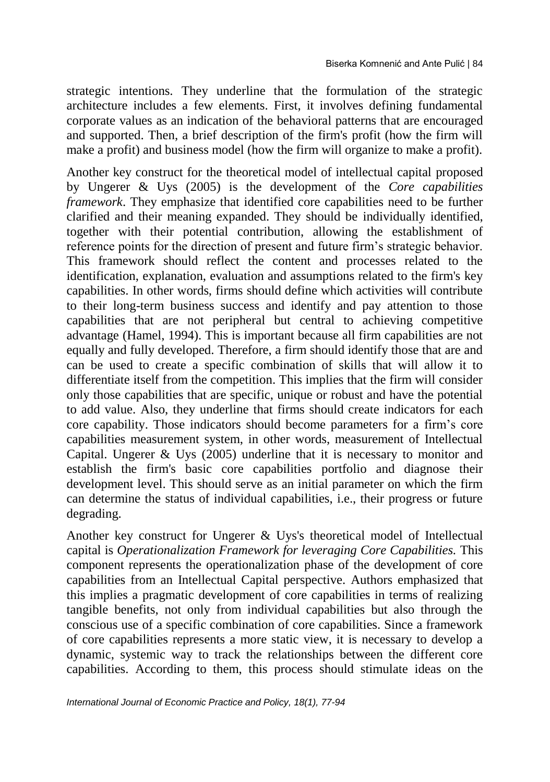strategic intentions. They underline that the formulation of the strategic architecture includes a few elements. First, it involves defining fundamental corporate values as an indication of the behavioral patterns that are encouraged and supported. Then, a brief description of the firm's profit (how the firm will make a profit) and business model (how the firm will organize to make a profit).

Another key construct for the theoretical model of intellectual capital proposed by Ungerer & Uys (2005) is the development of the *Core capabilities framework*. They emphasize that identified core capabilities need to be further clarified and their meaning expanded. They should be individually identified, together with their potential contribution, allowing the establishment of reference points for the direction of present and future firm's strategic behavior. This framework should reflect the content and processes related to the identification, explanation, evaluation and assumptions related to the firm's key capabilities. In other words, firms should define which activities will contribute to their long-term business success and identify and pay attention to those capabilities that are not peripheral but central to achieving competitive advantage (Hamel, 1994). This is important because all firm capabilities are not equally and fully developed. Therefore, a firm should identify those that are and can be used to create a specific combination of skills that will allow it to differentiate itself from the competition. This implies that the firm will consider only those capabilities that are specific, unique or robust and have the potential to add value. Also, they underline that firms should create indicators for each core capability. Those indicators should become parameters for a firm's core capabilities measurement system, in other words, measurement of Intellectual Capital. Ungerer  $&$  Uys (2005) underline that it is necessary to monitor and establish the firm's basic core capabilities portfolio and diagnose their development level. This should serve as an initial parameter on which the firm can determine the status of individual capabilities, i.e., their progress or future degrading.

Another key construct for Ungerer & Uys's theoretical model of Intellectual capital is *Operationalization Framework for leveraging Core Capabilities.* This component represents the operationalization phase of the development of core capabilities from an Intellectual Capital perspective. Authors emphasized that this implies a pragmatic development of core capabilities in terms of realizing tangible benefits, not only from individual capabilities but also through the conscious use of a specific combination of core capabilities. Since a framework of core capabilities represents a more static view, it is necessary to develop a dynamic, systemic way to track the relationships between the different core capabilities. According to them, this process should stimulate ideas on the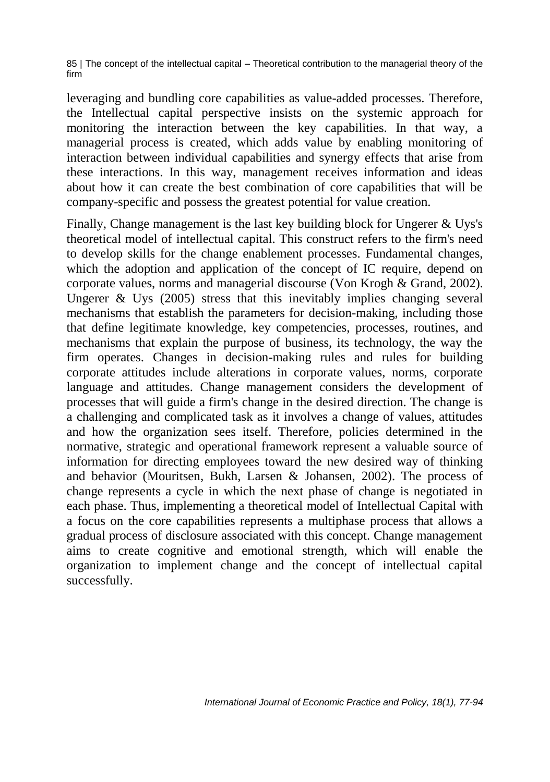leveraging and bundling core capabilities as value-added processes. Therefore, the Intellectual capital perspective insists on the systemic approach for monitoring the interaction between the key capabilities. In that way, a managerial process is created, which adds value by enabling monitoring of interaction between individual capabilities and synergy effects that arise from these interactions. In this way, management receives information and ideas about how it can create the best combination of core capabilities that will be company-specific and possess the greatest potential for value creation.

Finally, Change management is the last key building block for Ungerer & Uys's theoretical model of intellectual capital. This construct refers to the firm's need to develop skills for the change enablement processes. Fundamental changes, which the adoption and application of the concept of IC require, depend on corporate values, norms and managerial discourse (Von Krogh & Grand, 2002). Ungerer & Uys (2005) stress that this inevitably implies changing several mechanisms that establish the parameters for decision-making, including those that define legitimate knowledge, key competencies, processes, routines, and mechanisms that explain the purpose of business, its technology, the way the firm operates. Changes in decision-making rules and rules for building corporate attitudes include alterations in corporate values, norms, corporate language and attitudes. Change management considers the development of processes that will guide a firm's change in the desired direction. The change is a challenging and complicated task as it involves a change of values, attitudes and how the organization sees itself. Therefore, policies determined in the normative, strategic and operational framework represent a valuable source of information for directing employees toward the new desired way of thinking and behavior (Mouritsen, Bukh, Larsen & Johansen, 2002). The process of change represents a cycle in which the next phase of change is negotiated in each phase. Thus, implementing a theoretical model of Intellectual Capital with a focus on the core capabilities represents a multiphase process that allows a gradual process of disclosure associated with this concept. Change management aims to create cognitive and emotional strength, which will enable the organization to implement change and the concept of intellectual capital successfully.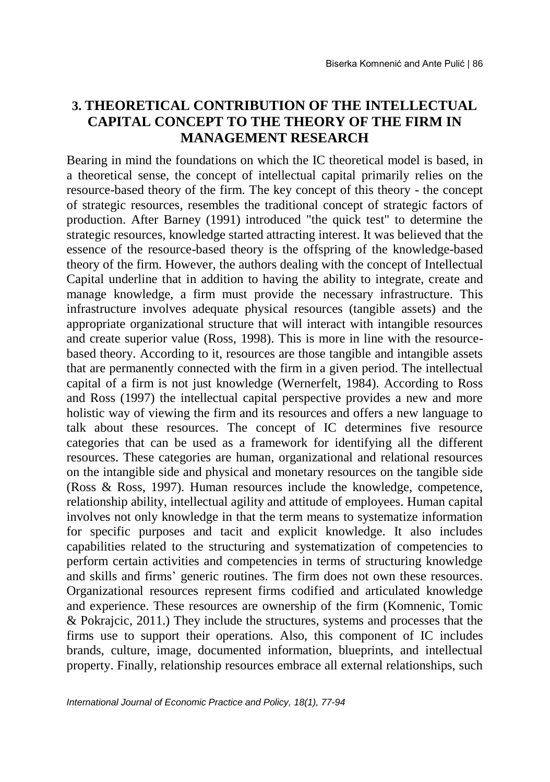### **3. THEORETICAL CONTRIBUTION OF THE INTELLECTUAL CAPITAL CONCEPT TO THE THEORY OF THE FIRM IN MANAGEMENT RESEARCH**

Bearing in mind the foundations on which the IC theoretical model is based, in a theoretical sense, the concept of intellectual capital primarily relies on the resource-based theory of the firm. The key concept of this theory - the concept of strategic resources, resembles the traditional concept of strategic factors of production. After Barney (1991) introduced "the quick test" to determine the strategic resources, knowledge started attracting interest. It was believed that the essence of the resource-based theory is the offspring of the knowledge-based theory of the firm. However, the authors dealing with the concept of Intellectual Capital underline that in addition to having the ability to integrate, create and manage knowledge, a firm must provide the necessary infrastructure. This infrastructure involves adequate physical resources (tangible assets) and the appropriate organizational structure that will interact with intangible resources and create superior value (Ross, 1998). This is more in line with the resourcebased theory. According to it, resources are those tangible and intangible assets that are permanently connected with the firm in a given period. The intellectual capital of a firm is not just knowledge (Wernerfelt, 1984). According to Ross and Ross (1997) the intellectual capital perspective provides a new and more holistic way of viewing the firm and its resources and offers a new language to talk about these resources. The concept of IC determines five resource categories that can be used as a framework for identifying all the different resources. These categories are human, organizational and relational resources on the intangible side and physical and monetary resources on the tangible side (Ross & Ross, 1997). Human resources include the knowledge, competence, relationship ability, intellectual agility and attitude of employees. Human capital involves not only knowledge in that the term means to systematize information for specific purposes and tacit and explicit knowledge. It also includes capabilities related to the structuring and systematization of competencies to perform certain activities and competencies in terms of structuring knowledge and skills and firms' generic routines. The firm does not own these resources. Organizational resources represent firms codified and articulated knowledge and experience. These resources are ownership of the firm (Komnenic, Tomic & Pokrajcic, 2011.) They include the structures, systems and processes that the firms use to support their operations. Also, this component of IC includes brands, culture, image, documented information, blueprints, and intellectual property. Finally, relationship resources embrace all external relationships, such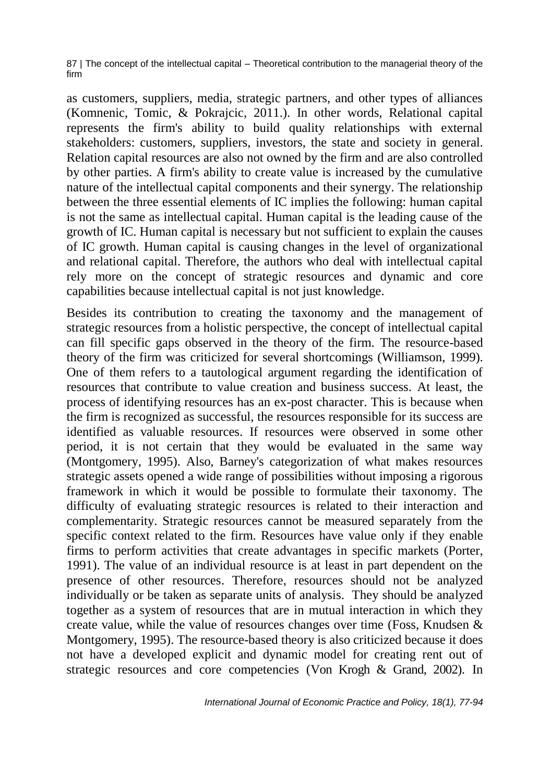as customers, suppliers, media, strategic partners, and other types of alliances (Komnenic, Tomic, & Pokrajcic, 2011.). In other words, Relational capital represents the firm's ability to build quality relationships with external stakeholders: customers, suppliers, investors, the state and society in general. Relation capital resources are also not owned by the firm and are also controlled by other parties. A firm's ability to create value is increased by the cumulative nature of the intellectual capital components and their synergy. The relationship between the three essential elements of IC implies the following: human capital is not the same as intellectual capital. Human capital is the leading cause of the growth of IC. Human capital is necessary but not sufficient to explain the causes of IC growth. Human capital is causing changes in the level of organizational and relational capital. Therefore, the authors who deal with intellectual capital rely more on the concept of strategic resources and dynamic and core capabilities because intellectual capital is not just knowledge.

Besides its contribution to creating the taxonomy and the management of strategic resources from a holistic perspective, the concept of intellectual capital can fill specific gaps observed in the theory of the firm. The resource-based theory of the firm was criticized for several shortcomings (Williamson, 1999). One of them refers to a tautological argument regarding the identification of resources that contribute to value creation and business success. At least, the process of identifying resources has an ex-post character. This is because when the firm is recognized as successful, the resources responsible for its success are identified as valuable resources. If resources were observed in some other period, it is not certain that they would be evaluated in the same way (Montgomery, 1995). Also, Barney's categorization of what makes resources strategic assets opened a wide range of possibilities without imposing a rigorous framework in which it would be possible to formulate their taxonomy. The difficulty of evaluating strategic resources is related to their interaction and complementarity. Strategic resources cannot be measured separately from the specific context related to the firm. Resources have value only if they enable firms to perform activities that create advantages in specific markets (Porter, 1991). The value of an individual resource is at least in part dependent on the presence of other resources. Therefore, resources should not be analyzed individually or be taken as separate units of analysis. They should be analyzed together as a system of resources that are in mutual interaction in which they create value, while the value of resources changes over time (Foss, Knudsen & Montgomery, 1995). The resource-based theory is also criticized because it does not have a developed explicit and dynamic model for creating rent out of strategic resources and core competencies (Von Krogh & Grand, 2002). In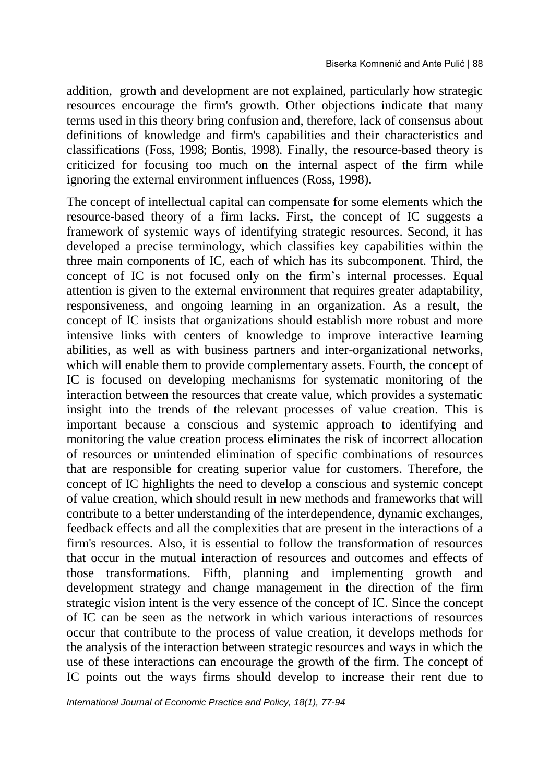addition, growth and development are not explained, particularly how strategic resources encourage the firm's growth. Other objections indicate that many terms used in this theory bring confusion and, therefore, lack of consensus about definitions of knowledge and firm's capabilities and their characteristics and classifications (Foss, 1998; Bontis, 1998). Finally, the resource-based theory is criticized for focusing too much on the internal aspect of the firm while ignoring the external environment influences (Ross, 1998).

The concept of intellectual capital can compensate for some elements which the resource-based theory of a firm lacks. First, the concept of IC suggests a framework of systemic ways of identifying strategic resources. Second, it has developed a precise terminology, which classifies key capabilities within the three main components of IC, each of which has its subcomponent. Third, the concept of IC is not focused only on the firm's internal processes. Equal attention is given to the external environment that requires greater adaptability, responsiveness, and ongoing learning in an organization. As a result, the concept of IC insists that organizations should establish more robust and more intensive links with centers of knowledge to improve interactive learning abilities, as well as with business partners and inter-organizational networks, which will enable them to provide complementary assets. Fourth, the concept of IC is focused on developing mechanisms for systematic monitoring of the interaction between the resources that create value, which provides a systematic insight into the trends of the relevant processes of value creation. This is important because a conscious and systemic approach to identifying and monitoring the value creation process eliminates the risk of incorrect allocation of resources or unintended elimination of specific combinations of resources that are responsible for creating superior value for customers. Therefore, the concept of IC highlights the need to develop a conscious and systemic concept of value creation, which should result in new methods and frameworks that will contribute to a better understanding of the interdependence, dynamic exchanges, feedback effects and all the complexities that are present in the interactions of a firm's resources. Also, it is essential to follow the transformation of resources that occur in the mutual interaction of resources and outcomes and effects of those transformations. Fifth, planning and implementing growth and development strategy and change management in the direction of the firm strategic vision intent is the very essence of the concept of IC. Since the concept of IC can be seen as the network in which various interactions of resources occur that contribute to the process of value creation, it develops methods for the analysis of the interaction between strategic resources and ways in which the use of these interactions can encourage the growth of the firm. The concept of IC points out the ways firms should develop to increase their rent due to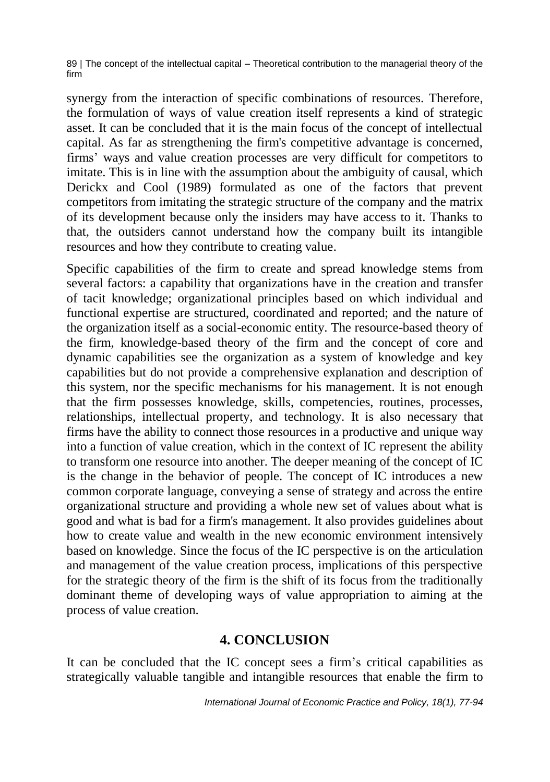synergy from the interaction of specific combinations of resources. Therefore, the formulation of ways of value creation itself represents a kind of strategic asset. It can be concluded that it is the main focus of the concept of intellectual capital. As far as strengthening the firm's competitive advantage is concerned, firms' ways and value creation processes are very difficult for competitors to imitate. This is in line with the assumption about the ambiguity of causal, which Derickx and Cool (1989) formulated as one of the factors that prevent competitors from imitating the strategic structure of the company and the matrix of its development because only the insiders may have access to it. Thanks to that, the outsiders cannot understand how the company built its intangible resources and how they contribute to creating value.

Specific capabilities of the firm to create and spread knowledge stems from several factors: a capability that organizations have in the creation and transfer of tacit knowledge; organizational principles based on which individual and functional expertise are structured, coordinated and reported; and the nature of the organization itself as a social-economic entity. The resource-based theory of the firm, knowledge-based theory of the firm and the concept of core and dynamic capabilities see the organization as a system of knowledge and key capabilities but do not provide a comprehensive explanation and description of this system, nor the specific mechanisms for his management. It is not enough that the firm possesses knowledge, skills, competencies, routines, processes, relationships, intellectual property, and technology. It is also necessary that firms have the ability to connect those resources in a productive and unique way into a function of value creation, which in the context of IC represent the ability to transform one resource into another. The deeper meaning of the concept of IC is the change in the behavior of people. The concept of IC introduces a new common corporate language, conveying a sense of strategy and across the entire organizational structure and providing a whole new set of values about what is good and what is bad for a firm's management. It also provides guidelines about how to create value and wealth in the new economic environment intensively based on knowledge. Since the focus of the IC perspective is on the articulation and management of the value creation process, implications of this perspective for the strategic theory of the firm is the shift of its focus from the traditionally dominant theme of developing ways of value appropriation to aiming at the process of value creation.

### **4. CONCLUSION**

It can be concluded that the IC concept sees a firm's critical capabilities as strategically valuable tangible and intangible resources that enable the firm to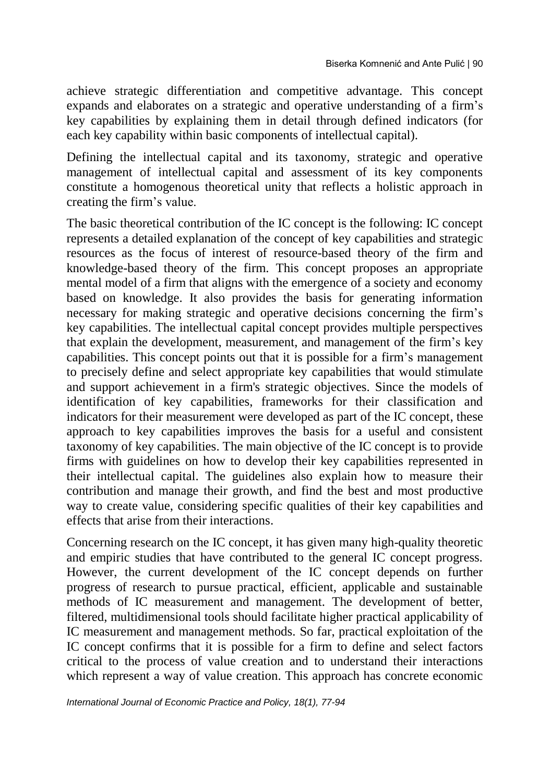achieve strategic differentiation and competitive advantage. This concept expands and elaborates on a strategic and operative understanding of a firm's key capabilities by explaining them in detail through defined indicators (for each key capability within basic components of intellectual capital).

Defining the intellectual capital and its taxonomy, strategic and operative management of intellectual capital and assessment of its key components constitute a homogenous theoretical unity that reflects a holistic approach in creating the firm's value.

The basic theoretical contribution of the IC concept is the following: IC concept represents a detailed explanation of the concept of key capabilities and strategic resources as the focus of interest of resource-based theory of the firm and knowledge-based theory of the firm. This concept proposes an appropriate mental model of a firm that aligns with the emergence of a society and economy based on knowledge. It also provides the basis for generating information necessary for making strategic and operative decisions concerning the firm's key capabilities. The intellectual capital concept provides multiple perspectives that explain the development, measurement, and management of the firm's key capabilities. This concept points out that it is possible for a firm's management to precisely define and select appropriate key capabilities that would stimulate and support achievement in a firm's strategic objectives. Since the models of identification of key capabilities, frameworks for their classification and indicators for their measurement were developed as part of the IC concept, these approach to key capabilities improves the basis for a useful and consistent taxonomy of key capabilities. The main objective of the IC concept is to provide firms with guidelines on how to develop their key capabilities represented in their intellectual capital. The guidelines also explain how to measure their contribution and manage their growth, and find the best and most productive way to create value, considering specific qualities of their key capabilities and effects that arise from their interactions.

Concerning research on the IC concept, it has given many high-quality theoretic and empiric studies that have contributed to the general IC concept progress. However, the current development of the IC concept depends on further progress of research to pursue practical, efficient, applicable and sustainable methods of IC measurement and management. The development of better, filtered, multidimensional tools should facilitate higher practical applicability of IC measurement and management methods. So far, practical exploitation of the IC concept confirms that it is possible for a firm to define and select factors critical to the process of value creation and to understand their interactions which represent a way of value creation. This approach has concrete economic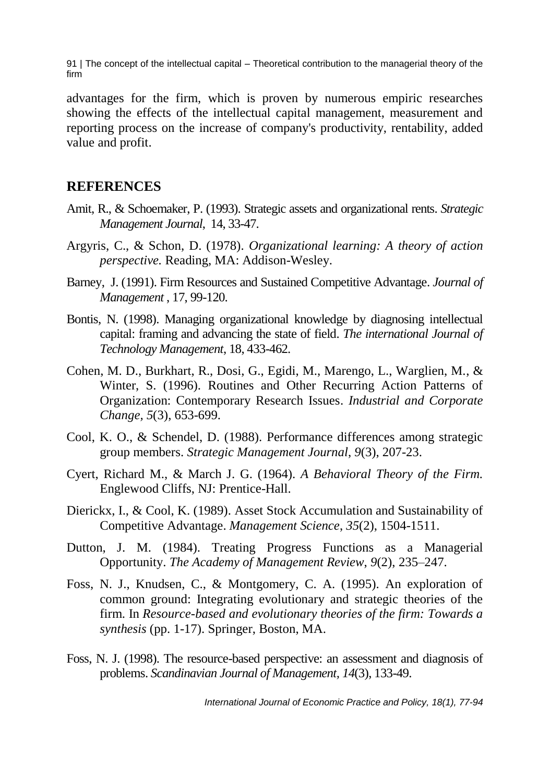advantages for the firm, which is proven by numerous empiric researches showing the effects of the intellectual capital management, measurement and reporting process on the increase of company's productivity, rentability, added value and profit.

#### **REFERENCES**

- Amit, R., & Schoemaker, P. (1993). Strategic assets and organizational rents. *Strategic Management Journal*, 14, 33-47.
- Argyris, C., & Schon, D. (1978). *Organizational learning: A theory of action perspective.* Reading, MA: Addison-Wesley.
- Barney, J. (1991). Firm Resources and Sustained Competitive Advantage. *Journal of Management* , 17, 99-120.
- Bontis, N. (1998). Managing organizational knowledge by diagnosing intellectual capital: framing and advancing the state of field. *The international Journal of Technology Management*, 18, 433-462.
- Cohen, M. D., Burkhart, R., Dosi, G., Egidi, M., Marengo, L., Warglien, M., & Winter, S. (1996). Routines and Other Recurring Action Patterns of Organization: Contemporary Research Issues. *Industrial and Corporate Change, 5*(3), 653-699.
- Cool, K. O., & Schendel, D. (1988). Performance differences among strategic group members. *Strategic Management Journal*, *9*(3), 207-23.
- Cyert, Richard M., & March J. G. (1964). *A Behavioral Theory of the Firm.* Englewood Cliffs, NJ: Prentice-Hall.
- Dierickx, I., & Cool, K. (1989). Asset Stock Accumulation and Sustainability of Competitive Advantage. *Management Science*, *35*(2), 1504-1511.
- Dutton, J. M. (1984). Treating Progress Functions as a Managerial Opportunity. *The Academy of Management Review*, *9*(2), 235–247.
- Foss, N. J., Knudsen, C., & Montgomery, C. A. (1995). An exploration of common ground: Integrating evolutionary and strategic theories of the firm. In *Resource-based and evolutionary theories of the firm: Towards a synthesis* (pp. 1-17). Springer, Boston, MA.
- Foss, N. J. (1998). The resource-based perspective: an assessment and diagnosis of problems. *Scandinavian Journal of Management, 14*(3), 133-49.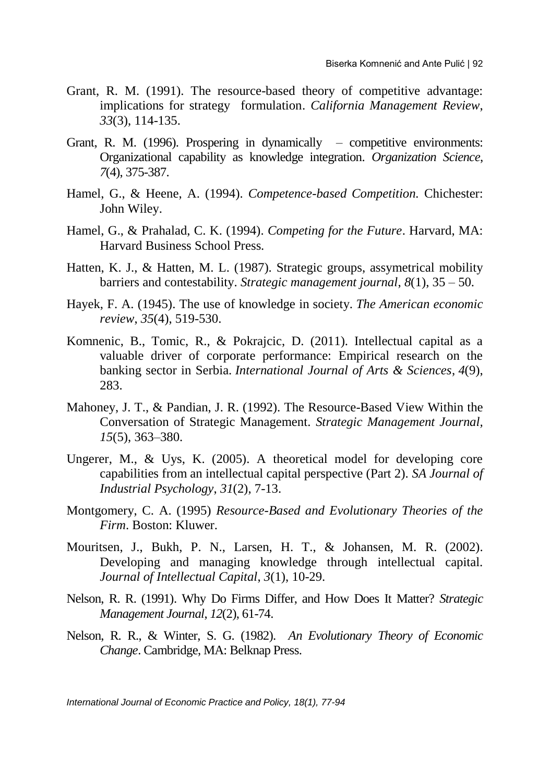- Grant, R. M. (1991). The resource-based theory of competitive advantage: implications for strategy formulation. *California Management Review*, *33*(3), 114-135.
- Grant, R. M. (1996). Prospering in dynamically competitive environments: Organizational capability as knowledge integration. *Organization Science*, *7*(4), 375-387.
- Hamel, G., & Heene, A. (1994). *Competence-based Competition.* Chichester: John Wiley.
- Hamel, G., & Prahalad, C. K. (1994). *Competing for the Future*. Harvard, MA: Harvard Business School Press.
- Hatten, K. J., & Hatten, M. L. (1987). Strategic groups, assymetrical mobility barriers and contestability. *Strategic management journal*, *8*(1), 35 – 50.
- Hayek, F. A. (1945). The use of knowledge in society. *The American economic review*, *35*(4), 519-530.
- Komnenic, B., Tomic, R., & Pokrajcic, D. (2011). Intellectual capital as a valuable driver of corporate performance: Empirical research on the banking sector in Serbia. *International Journal of Arts & Sciences*, *4*(9), 283.
- Mahoney, J. T., & Pandian, J. R. (1992). The Resource-Based View Within the Conversation of Strategic Management. *Strategic Management Journal, 15*(5), 363–380.
- Ungerer, M., & Uys, K. (2005). A theoretical model for developing core capabilities from an intellectual capital perspective (Part 2). *SA Journal of Industrial Psychology*, *31*(2), 7-13.
- Montgomery, C. A. (1995) *Resource-Based and Evolutionary Theories of the Firm*. Boston: Kluwer.
- Mouritsen, J., Bukh, P. N., Larsen, H. T., & Johansen, M. R. (2002). Developing and managing knowledge through intellectual capital. *Journal of Intellectual Capital*, *3*(1), 10-29.
- Nelson, R. R. (1991). Why Do Firms Differ, and How Does It Matter? *Strategic Management Journal*, *12*(2), 61-74.
- Nelson, R. R., & Winter, S. G. (1982). *An Evolutionary Theory of Economic Change*. Cambridge, MA: Belknap Press.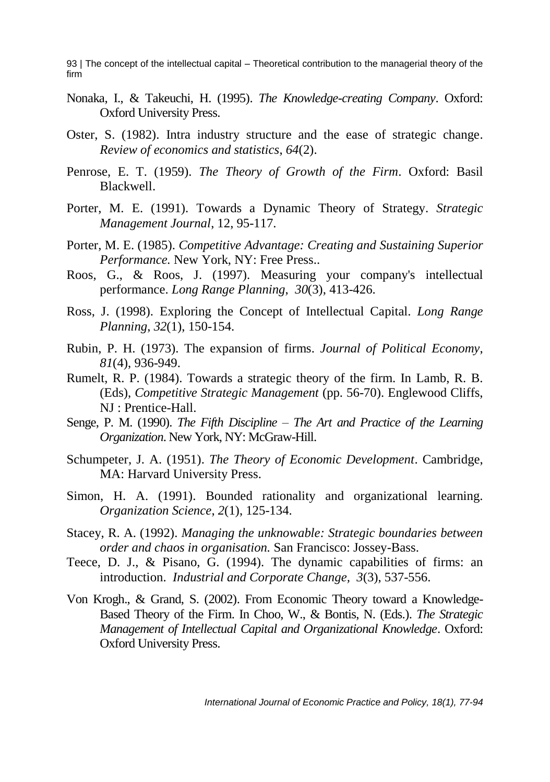- Nonaka, I., & Takeuchi, H. (1995). *The Knowledge-creating Company*. Oxford: Oxford University Press.
- Oster, S. (1982). Intra industry structure and the ease of strategic change. *Review of economics and statistics*, *64*(2).
- Penrose, E. T. (1959). *The Theory of Growth of the Firm*. Oxford: Basil Blackwell.
- Porter, M. E. (1991). Towards a Dynamic Theory of Strategy. *Strategic Management Journal*, 12, 95-117.
- Porter, M. E. (1985). *Competitive Advantage: Creating and Sustaining Superior Performance.* New York, NY: Free Press..
- Roos, G., & Roos, J. (1997). Measuring your company's intellectual performance. *Long Range Planning*, *30*(3), 413-426.
- Ross, J. (1998). Exploring the Concept of Intellectual Capital. *Long Range Planning*, *32*(1), 150-154.
- Rubin, P. H. (1973). The expansion of firms. *Journal of Political Economy*, *81*(4), 936-949.
- Rumelt, R. P. (1984). Towards a strategic theory of the firm. In Lamb, R. B. (Eds), *Competitive Strategic Management* (pp. 56-70). Englewood Cliffs, NJ : Prentice-Hall.
- Senge, P. M. (1990). *The Fifth Discipline – The Art and Practice of the Learning Organization*. New York, NY: McGraw-Hill.
- Schumpeter, J. A. (1951). *The Theory of Economic Development*. Cambridge, MA: Harvard University Press.
- Simon, H. A. (1991). Bounded rationality and organizational learning. *Organization Science*, *2*(1), 125-134.
- Stacey, R. A. (1992). *Managing the unknowable: Strategic boundaries between order and chaos in organisation.* San Francisco: Jossey-Bass.
- Teece, D. J., & Pisano, G. (1994). The dynamic capabilities of firms: an introduction. *Industrial and Corporate Change, 3*(3), 537-556.
- Von Krogh., & Grand, S. (2002). From Economic Theory toward a Knowledge-Based Theory of the Firm. In Choo, W., & Bontis, N. (Eds.). *The Strategic Management of Intellectual Capital and Organizational Knowledge*. Oxford: Oxford University Press.